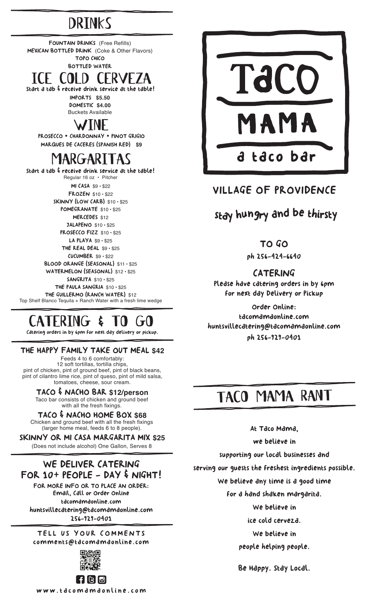## **DRINKS**

FOUNTAIN DRINKS (Free Refills) MEXICAN BOTTLED DRINK (Coke & Other Flavors) TOPO CHICO BOTTLED WATER

### Start a tab & receive drink service at the table! ice cold cerveza

IMPORTS **\$5.50** DOMESTIC **\$4.00** Buckets Available

### $WIN$

PROSECCO • CHARDONNAY • PINOT GRIGIO MARQUES DE CACERES (SPANISH RED) **\$9**

## margaritas

Start a tab & receive drink service at the table! Regular 16 oz • Pitcher MI CASA \$9 • \$22 FROZEN \$10 • \$22 SKINNY (LOW CARB) \$10 • \$25 POMEGRANATE \$10 · \$25 MERCEDES \$12 JALAPENO \$10 • \$25 PROSECCO FIZZ \$10 · \$25 LA PLAYA \$9 · \$25 THE REAL DEAL \$9 · \$25  $CUCUMBER$  \$9  $\cdot$  \$22 BLOOD ORANGE (SEASONAL) \$11 • \$25 WATERMELON (SEASONAL) \$12 · \$25 SANGRITA \$10 • \$25 THE PAULA SANGRIA \$10 • \$25 THE GUILLERMO (RANCH WATER) \$12 Top Shelf Blanco Tequila + Ranch Water with a fresh lime wedge

## CATERING & TO GO

Catering orders in by 6pm for next day delivery or pickup.

#### THE HAPPY FAMILY TAKE OUT MEAL **\$42**

Feeds 4 to 6 comfortably: 12 soft tortillas, tortilla chips, pint of chicken, pint of ground beef, pint of black beans, pint of cilantro lime rice, pint of queso, pint of mild salsa, tomatoes, cheese, sour cream.

TACO & NACHO BAR **\$12/person** Taco bar consists of chicken and ground beef with all the fresh fixings.

#### TACO & NACHO HOME BOX **\$68**

Chicken and ground beef with all the fresh fixings (larger home meal, feeds 6 to 8 people).

SKINNY OR MI CASA MARGARITA MIX **\$25** (Does not include alcohol) One Gallon, Serves 8

### WE DELIVER CATERING FOR 10+ PEOPLE - DAY & NIGHT!

FOR MORE INFO OR TO PLACE AN ORDER: Email, Call or Order Online tacomamaonline.com huntsvillecatering@tacomamaonline.com 256-929-0401

TELL US YOUR COMMENTS comments@tacomamaonline.com





### VILLAGE OF PROVIDENCE

### <sup>s</sup>ta<sup>y</sup> <sup>h</sup>u<sup>n</sup>gr<sup>y</sup> <sup>a</sup>n<sup>d</sup> <sup>b</sup><sup>e</sup> <sup>t</sup>hirst<sup>y</sup>

TO GO

ph 256-424-6640

#### CATERING

Please have catering orders in by 6pm for next day Delivery or Pickup

Order Online: tacomamaonline.com huntsvillecatering@tacomamaonline.com ph 256-929-0401

## taco mama rant

At Taco Mama,

we believe in

supporting our local businesses and

serving our guests the freshest ingredients possible.

We believe any time is a good time

for a hand shaken margarita.

We believe in

ice cold cerveza.

We believe in

people helping people.

Be Happy. Stay Local.

FIGIO www.tacomamaonline.com